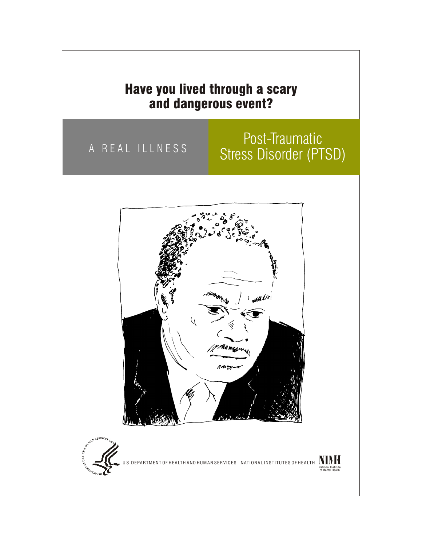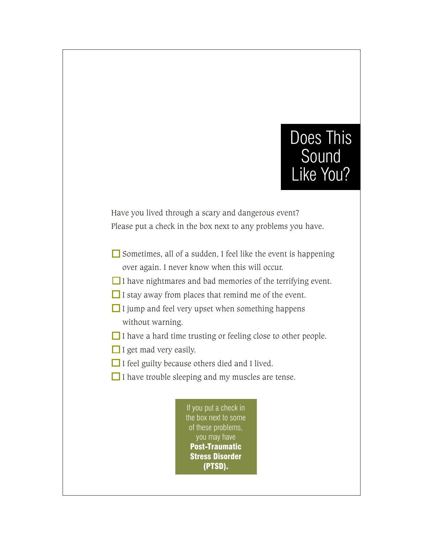#### Does This Sound Like You?

Have you lived through a scary and dangerous event? Please put a check in the box next to any problems you have.

- $\Box$  Sometimes, all of a sudden, I feel like the event is happening over again. I never know when this will occur.
- $\Box$  I have nightmares and bad memories of the terrifying event.
- $\Box$  I stay away from places that remind me of the event.
- $\Box$  I jump and feel very upset when something happens without warning.
- $\Box$  I have a hard time trusting or feeling close to other people.
- $\Box$  I get mad very easily.
- $\Box$  I feel guilty because others died and I lived.
- $\Box$  I have trouble sleeping and my muscles are tense.

If you put a check in the box next to some of these problems, you may have Post-Traumatic Stress Disorder (PTSD).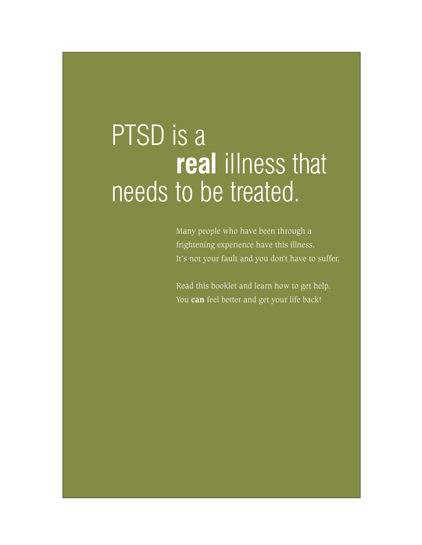### PTSD is a **real** illness that needs to be treated.

Many people who have been through a frightening experience have this illness. It's not your fault and you don't have to suffer.

Read this booklet and learn how to get help. You **can** feel better and get your life back!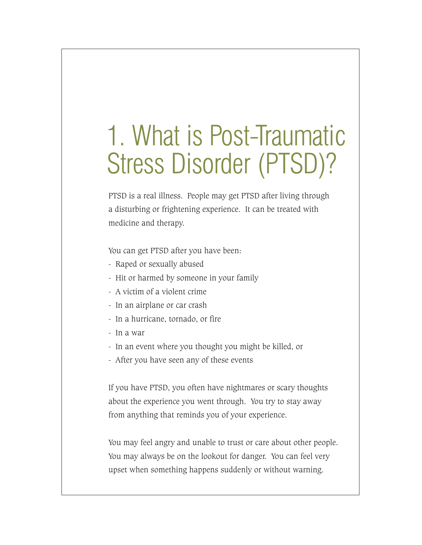# 1. What is Post-Traumatic Stress Disorder (PTSD)?

PTSD is a real illness. People may get PTSD after living through a disturbing or frightening experience. It can be treated with medicine and therapy.

You can get PTSD after you have been:

- Raped or sexually abused
- Hit or harmed by someone in your family
- A victim of a violent crime
- In an airplane or car crash
- In a hurricane, tornado, or fire
- In a war
- In an event where you thought you might be killed, or
- After you have seen any of these events

If you have PTSD, you often have nightmares or scary thoughts about the experience you went through. You try to stay away from anything that reminds you of your experience.

You may feel angry and unable to trust or care about other people. You may always be on the lookout for danger. You can feel very upset when something happens suddenly or without warning.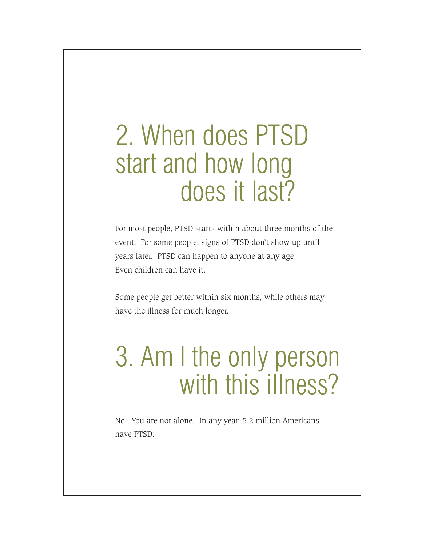#### 2. When does PTSD start and how long does it last?

For most people, PTSD starts within about three months of the event. For some people, signs of PTSD don't show up until years later. PTSD can happen to anyone at any age. Even children can have it.

Some people get better within six months, while others may have the illness for much longer.

## 3. Am I the only person with this illness?

No. You are not alone. In any year, 5.2 million Americans have PTSD.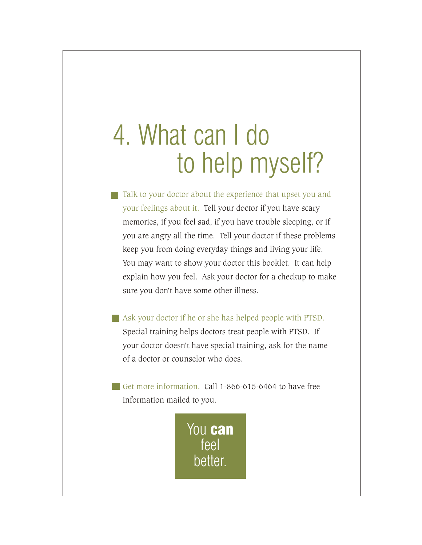### 4. What can I do to help myself?

- Talk to your doctor about the experience that upset you and your feelings about it. Tell your doctor if you have scary memories, if you feel sad, if you have trouble sleeping, or if you are angry all the time. Tell your doctor if these problems keep you from doing everyday things and living your life. You may want to show your doctor this booklet. It can help explain how you feel. Ask your doctor for a checkup to make sure you don't have some other illness.
- Ask your doctor if he or she has helped people with PTSD. Special training helps doctors treat people with PTSD. If your doctor doesn't have special training, ask for the name of a doctor or counselor who does.
- Get more information. Call  $1-866-615-6464$  to have free information mailed to you.

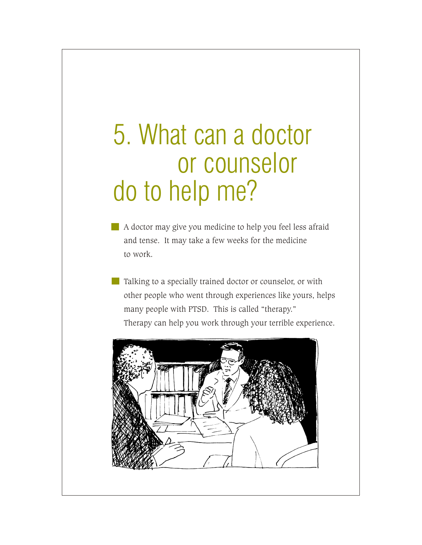## 5. What can a doctor or counselor do to help me?

- A doctor may give you medicine to help you feel less afraid and tense. It may take a few weeks for the medicine to work.
- **Talking to a specially trained doctor or counselor, or with**  other people who went through experiences like yours, helps many people with PTSD. This is called "therapy." Therapy can help you work through your terrible experience.

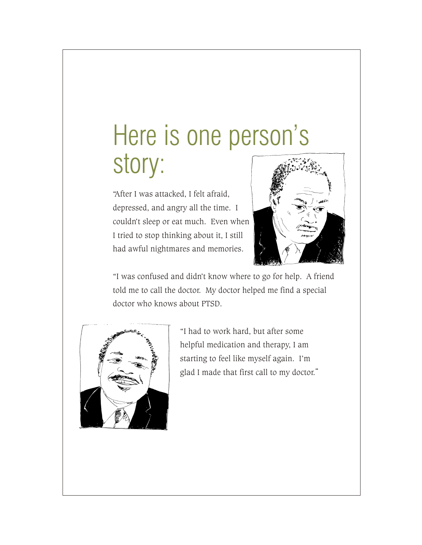### Here is one person's story:

had awful nightmares and memories. I tried to stop thinking about it, I still couldn't sleep or eat much. Even when depressed, and angry all the time. I "After I was attacked, I felt afraid,



doctor who knows about PTSD. told me to call the doctor. My doctor helped me find a special "I was confused and didn't know where to go for help. A friend



glad I made that first call to my doctor." starting to feel like myself again. I'm helpful medication and therapy, I am "I had to work hard, but after some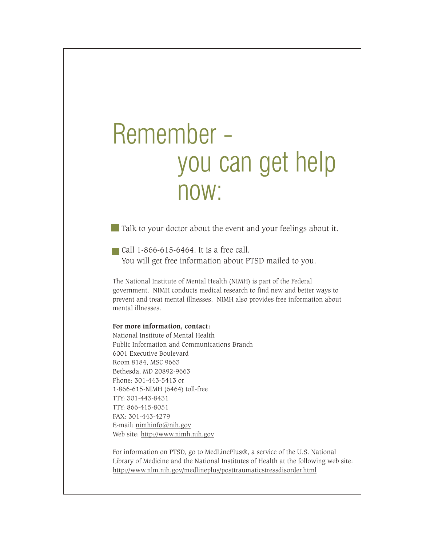#### Remember you can get help now:

**Talk to your doctor about the event and your feelings about it.** 

Call 1-866-615-6464. It is a free call. You will get free information about PTSD mailed to you.

The National Institute of Mental Health (NIMH) is part of the Federal government. NIMH conducts medical research to find new and better ways to prevent and treat mental illnesses. NIMH also provides free information about mental illnesses.

#### **For more information, contact:**

National Institute of Mental Health Public Information and Communications Branch 6001 Executive Boulevard Room 8184, MSC 9663 Bethesda, MD 20892-9663 Phone: 301-443-5413 or 1-866-615-NIMH (6464) toll-free TTY: 301-443-8431 TTY: 866-415-8051 FAX: 301-443-4279 E-mail: nimhinfo@nih.gov Web site: http://www.nimh.nih.gov

For information on PTSD, go to MedLinePlus®, a service of the U.S. National Library of Medicine and the National Institutes of Health at the following web site: http://www.nlm.nih.gov/medlineplus/posttraumaticstressdisorder.html